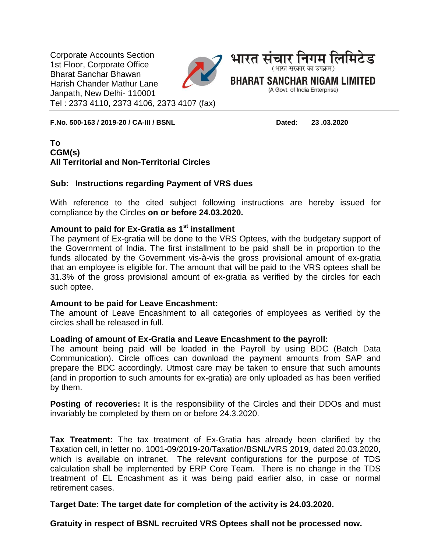Corporate Accounts Section 1st Floor, Corporate Office Bharat Sanchar Bhawan Harish Chander Mathur Lane Janpath, New Delhi- 110001 Tel : 2373 4110, 2373 4106, 2373 4107 (fax)



**F.No. 500-163 / 2019-20 / CA-III / BSNL Dated: 23 .03.2020**

## **To CGM(s) All Territorial and Non-Territorial Circles**

#### **Sub: Instructions regarding Payment of VRS dues**

With reference to the cited subject following instructions are hereby issued for compliance by the Circles **on or before 24.03.2020.**

## **Amount to paid for Ex-Gratia as 1st installment**

The payment of Ex-gratia will be done to the VRS Optees, with the budgetary support of the Government of India. The first installment to be paid shall be in proportion to the funds allocated by the Government vis-à-vis the gross provisional amount of ex-gratia that an employee is eligible for. The amount that will be paid to the VRS optees shall be 31.3% of the gross provisional amount of ex-gratia as verified by the circles for each such optee.

#### **Amount to be paid for Leave Encashment:**

The amount of Leave Encashment to all categories of employees as verified by the circles shall be released in full.

#### **Loading of amount of Ex-Gratia and Leave Encashment to the payroll:**

The amount being paid will be loaded in the Payroll by using BDC (Batch Data Communication). Circle offices can download the payment amounts from SAP and prepare the BDC accordingly. Utmost care may be taken to ensure that such amounts (and in proportion to such amounts for ex-gratia) are only uploaded as has been verified by them.

**Posting of recoveries:** It is the responsibility of the Circles and their DDOs and must invariably be completed by them on or before 24.3.2020.

**Tax Treatment:** The tax treatment of Ex-Gratia has already been clarified by the Taxation cell, in letter no. 1001-09/2019-20/Taxation/BSNL/VRS 2019, dated 20.03.2020, which is available on intranet. The relevant configurations for the purpose of TDS calculation shall be implemented by ERP Core Team. There is no change in the TDS treatment of EL Encashment as it was being paid earlier also, in case or normal retirement cases.

**Target Date: The target date for completion of the activity is 24.03.2020.**

**Gratuity in respect of BSNL recruited VRS Optees shall not be processed now.**